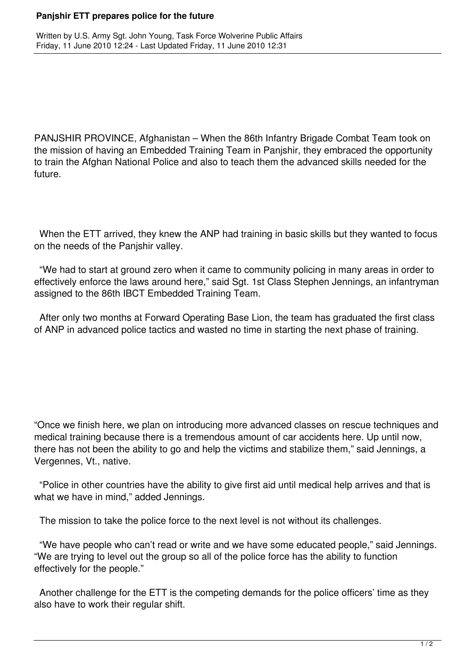## **Panjshir ETT prepares police for the future**

PANJSHIR PROVINCE, Afghanistan – When the 86th Infantry Brigade Combat Team took on the mission of having an Embedded Training Team in Panjshir, they embraced the opportunity to train the Afghan National Police and also to teach them the advanced skills needed for the future.

 When the ETT arrived, they knew the ANP had training in basic skills but they wanted to focus on the needs of the Panjshir valley.

 "We had to start at ground zero when it came to community policing in many areas in order to effectively enforce the laws around here," said Sgt. 1st Class Stephen Jennings, an infantryman assigned to the 86th IBCT Embedded Training Team.

 After only two months at Forward Operating Base Lion, the team has graduated the first class of ANP in advanced police tactics and wasted no time in starting the next phase of training.

"Once we finish here, we plan on introducing more advanced classes on rescue techniques and medical training because there is a tremendous amount of car accidents here. Up until now, there has not been the ability to go and help the victims and stabilize them," said Jennings, a Vergennes, Vt., native.

 "Police in other countries have the ability to give first aid until medical help arrives and that is what we have in mind," added Jennings.

The mission to take the police force to the next level is not without its challenges.

 "We have people who can't read or write and we have some educated people," said Jennings. "We are trying to level out the group so all of the police force has the ability to function effectively for the people."

 Another challenge for the ETT is the competing demands for the police officers' time as they also have to work their regular shift.